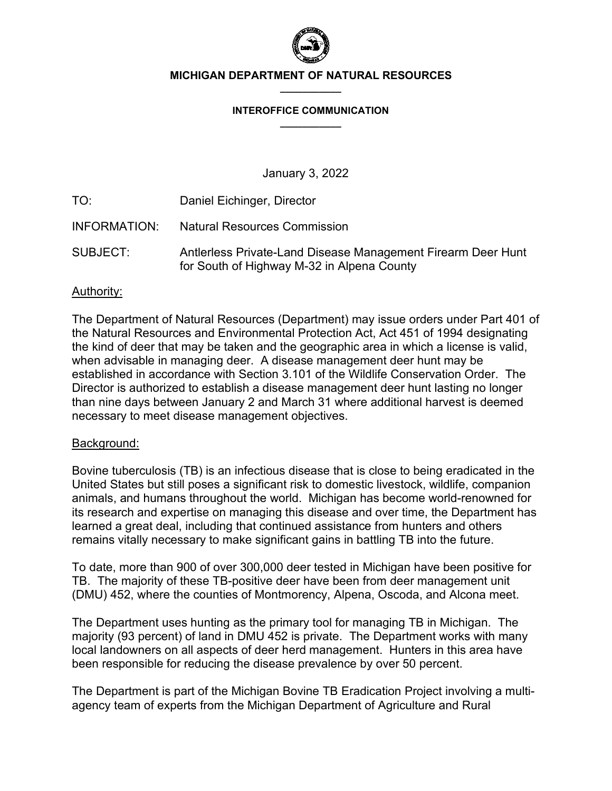

#### **MICHIGAN DEPARTMENT OF NATURAL RESOURCES \_\_\_\_\_\_\_\_\_\_\_**

#### **INTEROFFICE COMMUNICATION \_\_\_\_\_\_\_\_\_\_\_**

January 3, 2022

TO: Daniel Eichinger, Director

- INFORMATION: Natural Resources Commission
- SUBJECT: Antlerless Private-Land Disease Management Firearm Deer Hunt for South of Highway M-32 in Alpena County

## Authority:

The Department of Natural Resources (Department) may issue orders under Part 401 of the Natural Resources and Environmental Protection Act, Act 451 of 1994 designating the kind of deer that may be taken and the geographic area in which a license is valid, when advisable in managing deer. A disease management deer hunt may be established in accordance with Section 3.101 of the Wildlife Conservation Order. The Director is authorized to establish a disease management deer hunt lasting no longer than nine days between January 2 and March 31 where additional harvest is deemed necessary to meet disease management objectives.

## Background:

Bovine tuberculosis (TB) is an infectious disease that is close to being eradicated in the United States but still poses a significant risk to domestic livestock, wildlife, companion animals, and humans throughout the world. Michigan has become world-renowned for its research and expertise on managing this disease and over time, the Department has learned a great deal, including that continued assistance from hunters and others remains vitally necessary to make significant gains in battling TB into the future.

To date, more than 900 of over 300,000 deer tested in Michigan have been positive for TB. The majority of these TB-positive deer have been from deer management unit (DMU) 452, where the counties of Montmorency, Alpena, Oscoda, and Alcona meet.

The Department uses hunting as the primary tool for managing TB in Michigan. The majority (93 percent) of land in DMU 452 is private. The Department works with many local landowners on all aspects of deer herd management. Hunters in this area have been responsible for reducing the disease prevalence by over 50 percent.

The Department is part of the Michigan Bovine TB Eradication Project involving a multiagency team of experts from the Michigan Department of Agriculture and Rural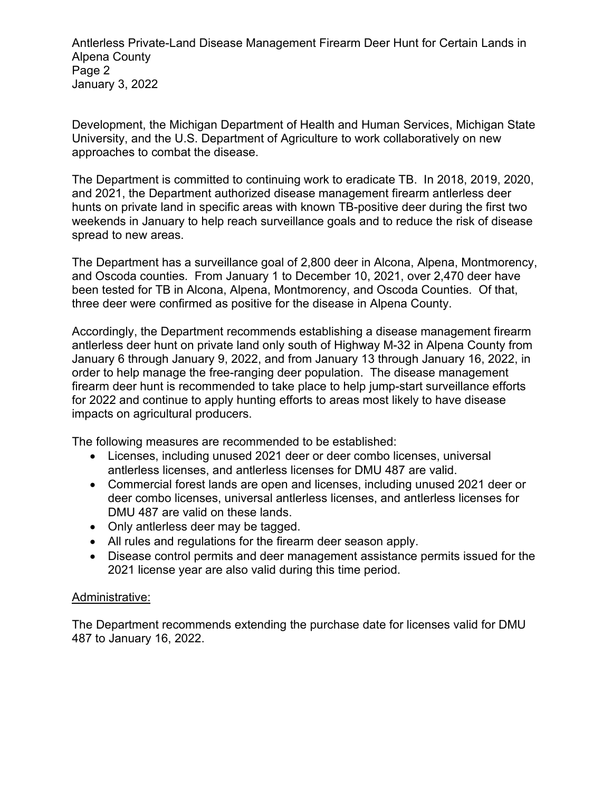Antlerless Private-Land Disease Management Firearm Deer Hunt for Certain Lands in Alpena County Page 2 January 3, 2022

Development, the Michigan Department of Health and Human Services, Michigan State University, and the U.S. Department of Agriculture to work collaboratively on new approaches to combat the disease.

The Department is committed to continuing work to eradicate TB. In 2018, 2019, 2020, and 2021, the Department authorized disease management firearm antlerless deer hunts on private land in specific areas with known TB-positive deer during the first two weekends in January to help reach surveillance goals and to reduce the risk of disease spread to new areas.

The Department has a surveillance goal of 2,800 deer in Alcona, Alpena, Montmorency, and Oscoda counties. From January 1 to December 10, 2021, over 2,470 deer have been tested for TB in Alcona, Alpena, Montmorency, and Oscoda Counties. Of that, three deer were confirmed as positive for the disease in Alpena County.

Accordingly, the Department recommends establishing a disease management firearm antlerless deer hunt on private land only south of Highway M-32 in Alpena County from January 6 through January 9, 2022, and from January 13 through January 16, 2022, in order to help manage the free-ranging deer population. The disease management firearm deer hunt is recommended to take place to help jump-start surveillance efforts for 2022 and continue to apply hunting efforts to areas most likely to have disease impacts on agricultural producers.

The following measures are recommended to be established:

- Licenses, including unused 2021 deer or deer combo licenses, universal antlerless licenses, and antlerless licenses for DMU 487 are valid.
- Commercial forest lands are open and licenses, including unused 2021 deer or deer combo licenses, universal antlerless licenses, and antlerless licenses for DMU 487 are valid on these lands.
- Only antlerless deer may be tagged.
- All rules and regulations for the firearm deer season apply.
- Disease control permits and deer management assistance permits issued for the 2021 license year are also valid during this time period.

# Administrative:

The Department recommends extending the purchase date for licenses valid for DMU 487 to January 16, 2022.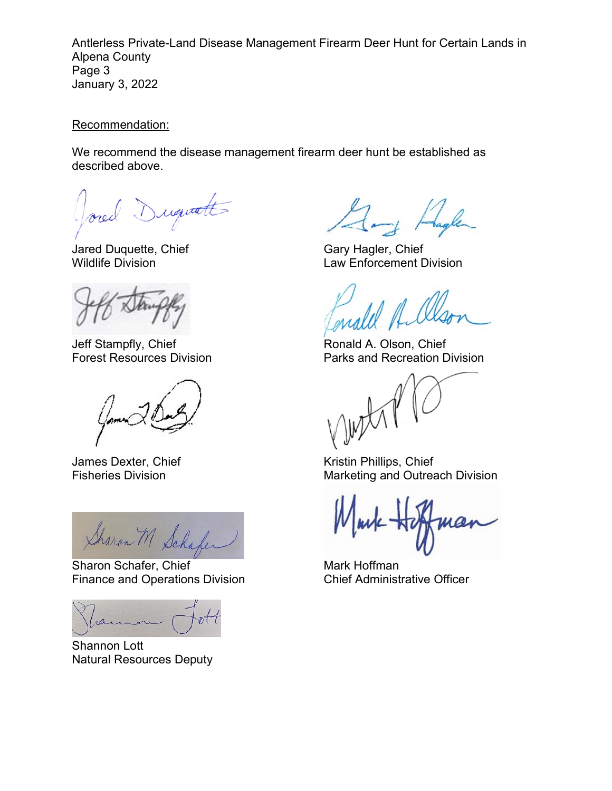Antlerless Private-Land Disease Management Firearm Deer Hunt for Certain Lands in Alpena County Page 3 January 3, 2022

Recommendation:

We recommend the disease management firearm deer hunt be established as described above.

Dugwatt

Jared Duquette, Chief Gary Hagler, Chief

Jeff Stampfly, Chief **Ronald A. Olson, Chief** Ronald A. Olson, Chief

 $\frac{1}{\sqrt{h_{\text{at}}}}$   $\frac{1}{\sqrt{h_{\text{at}}}}$  Sharon Schafer, Chief Mark Hoffman Mark Hoffman Mark Hoffman Chief Administrative Officer

Finance and Operations Division

ramon

Shannon Lott Natural Resources Deputy

-1 Hagle

Wildlife Division Law Enforcement Division

Forest Resources Division **Parks and Recreation Division** 

James Dexter, Chief Kristin Phillips, Chief Fisheries Division **Fisheries** Division **Marketing and Outreach Division**